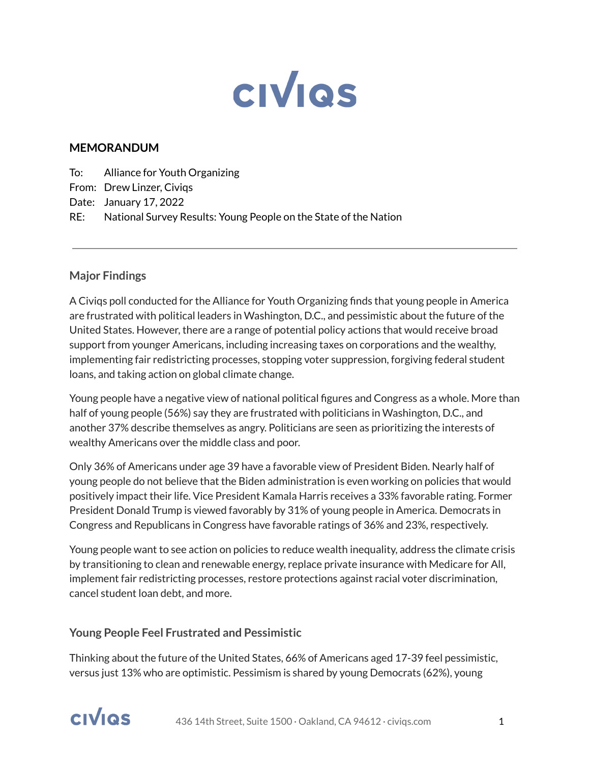

#### **MEMORANDUM**

To: Alliance for Youth Organizing

From: Drew Linzer, Civiqs

Date: January 17, 2022

RE: National Survey Results: Young People on the State of the Nation

#### **Major Findings**

A Civiqs poll conducted for the Alliance for Youth Organizing finds that young people in America are frustrated with political leaders in Washington, D.C., and pessimistic about the future of the United States. However, there are a range of potential policy actions that would receive broad support from younger Americans, including increasing taxes on corporations and the wealthy, implementing fair redistricting processes, stopping voter suppression, forgiving federal student loans, and taking action on global climate change.

Young people have a negative view of national political figures and Congress as a whole. More than half of young people (56%) say they are frustrated with politicians in Washington, D.C., and another 37% describe themselves as angry. Politicians are seen as prioritizing the interests of wealthy Americans over the middle class and poor.

Only 36% of Americans under age 39 have a favorable view of President Biden. Nearly half of young people do not believe that the Biden administration is even working on policies that would positively impact their life. Vice President Kamala Harris receives a 33% favorable rating. Former President Donald Trump is viewed favorably by 31% of young people in America. Democrats in Congress and Republicans in Congress have favorable ratings of 36% and 23%, respectively.

Young people want to see action on policies to reduce wealth inequality, address the climate crisis by transitioning to clean and renewable energy, replace private insurance with Medicare for All, implement fair redistricting processes, restore protections against racial voter discrimination, cancel student loan debt, and more.

#### **Young People Feel Frustrated and Pessimistic**

Thinking about the future of the United States, 66% of Americans aged 17-39 feel pessimistic, versus just 13% who are optimistic. Pessimism is shared by young Democrats (62%), young

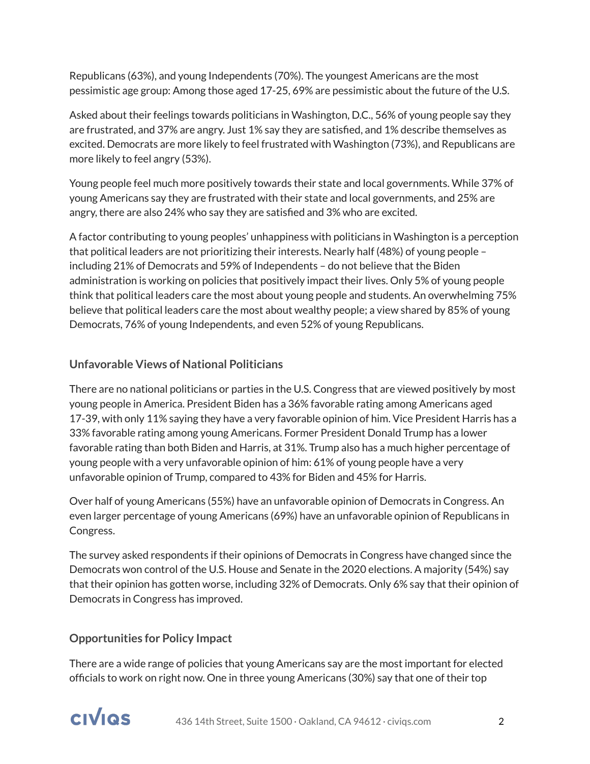Republicans (63%), and young Independents (70%). The youngest Americans are the most pessimistic age group: Among those aged 17-25, 69% are pessimistic about the future of the U.S.

Asked about their feelings towards politicians in Washington, D.C., 56% of young people say they are frustrated, and 37% are angry. Just 1% say they are satisfied, and 1% describe themselves as excited. Democrats are more likely to feel frustrated with Washington (73%), and Republicans are more likely to feel angry (53%).

Young people feel much more positively towards their state and local governments. While 37% of young Americans say they are frustrated with their state and local governments, and 25% are angry, there are also 24% who say they are satisfied and 3% who are excited.

A factor contributing to young peoples' unhappiness with politicians in Washington is a perception that political leaders are not prioritizing their interests. Nearly half (48%) of young people – including 21% of Democrats and 59% of Independents – do not believe that the Biden administration is working on policies that positively impact their lives. Only 5% of young people think that political leaders care the most about young people and students. An overwhelming 75% believe that political leaders care the most about wealthy people; a view shared by 85% of young Democrats, 76% of young Independents, and even 52% of young Republicans.

## **Unfavorable Views of National Politicians**

There are no national politicians or parties in the U.S. Congress that are viewed positively by most young people in America. President Biden has a 36% favorable rating among Americans aged 17-39, with only 11% saying they have a very favorable opinion of him. Vice President Harris has a 33% favorable rating among young Americans. Former President Donald Trump has a lower favorable rating than both Biden and Harris, at 31%. Trump also has a much higher percentage of young people with a very unfavorable opinion of him: 61% of young people have a very unfavorable opinion of Trump, compared to 43% for Biden and 45% for Harris.

Over half of young Americans (55%) have an unfavorable opinion of Democrats in Congress. An even larger percentage of young Americans (69%) have an unfavorable opinion of Republicans in Congress.

The survey asked respondents if their opinions of Democrats in Congress have changed since the Democrats won control of the U.S. House and Senate in the 2020 elections. A majority (54%) say that their opinion has gotten worse, including 32% of Democrats. Only 6% say that their opinion of Democrats in Congress has improved.

## **Opportunities for Policy Impact**

There are a wide range of policies that young Americans say are the most important for elected officials to work on right now. One in three young Americans (30%) say that one of their top

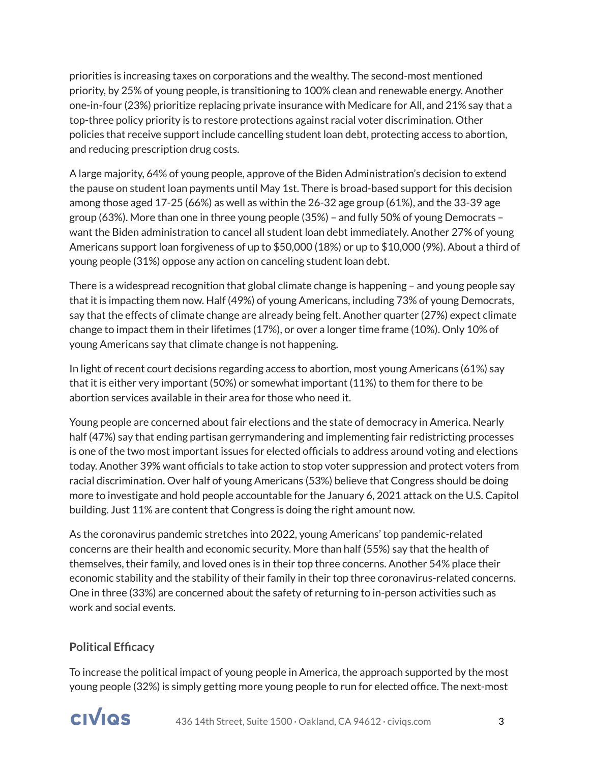priorities is increasing taxes on corporations and the wealthy. The second-most mentioned priority, by 25% of young people, is transitioning to 100% clean and renewable energy. Another one-in-four (23%) prioritize replacing private insurance with Medicare for All, and 21% say that a top-three policy priority is to restore protections against racial voter discrimination. Other policies that receive support include cancelling student loan debt, protecting access to abortion, and reducing prescription drug costs.

A large majority, 64% of young people, approve of the Biden Administration's decision to extend the pause on student loan payments until May 1st. There is broad-based support for this decision among those aged 17-25 (66%) as well as within the 26-32 age group (61%), and the 33-39 age group (63%). More than one in three young people (35%) – and fully 50% of young Democrats – want the Biden administration to cancel all student loan debt immediately. Another 27% of young Americans support loan forgiveness of up to \$50,000 (18%) or up to \$10,000 (9%). About a third of young people (31%) oppose any action on canceling student loan debt.

There is a widespread recognition that global climate change is happening – and young people say that it is impacting them now. Half (49%) of young Americans, including 73% of young Democrats, say that the effects of climate change are already being felt. Another quarter (27%) expect climate change to impact them in their lifetimes (17%), or over a longer time frame (10%). Only 10% of young Americans say that climate change is not happening.

In light of recent court decisions regarding access to abortion, most young Americans (61%) say that it is either very important (50%) or somewhat important (11%) to them for there to be abortion services available in their area for those who need it.

Young people are concerned about fair elections and the state of democracy in America. Nearly half (47%) say that ending partisan gerrymandering and implementing fair redistricting processes is one of the two most important issues for elected officials to address around voting and elections today. Another 39% want officials to take action to stop voter suppression and protect voters from racial discrimination. Over half of young Americans (53%) believe that Congress should be doing more to investigate and hold people accountable for the January 6, 2021 attack on the U.S. Capitol building. Just 11% are content that Congress is doing the right amount now.

As the coronavirus pandemic stretches into 2022, young Americans' top pandemic-related concerns are their health and economic security. More than half (55%) say that the health of themselves, their family, and loved ones is in their top three concerns. Another 54% place their economic stability and the stability of their family in their top three coronavirus-related concerns. One in three (33%) are concerned about the safety of returning to in-person activities such as work and social events.

## **Political Efficacy**

To increase the political impact of young people in America, the approach supported by the most young people (32%) is simply getting more young people to run for elected office. The next-most

# **CIVIOS**